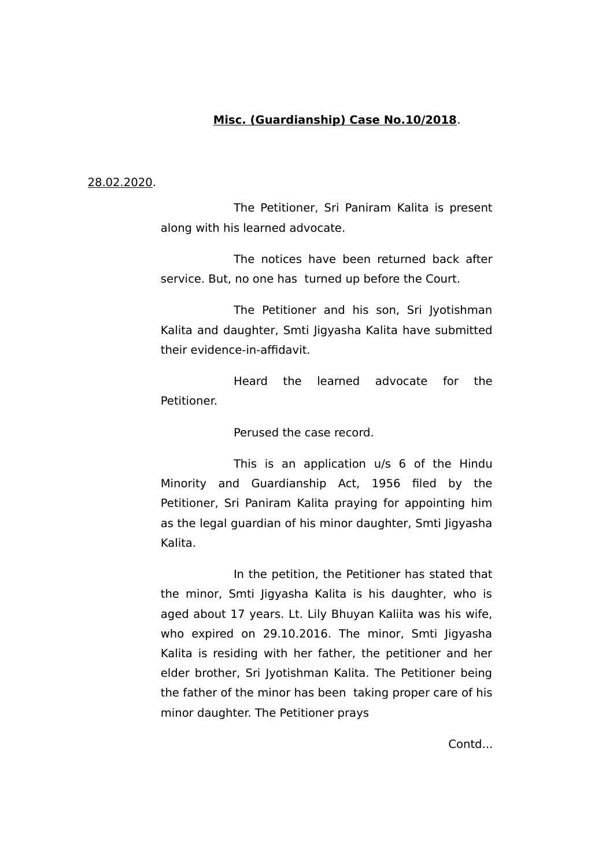# **Misc. (Guardianship) Case No.10/2018**.

#### 28.02.2020.

The Petitioner, Sri Paniram Kalita is present along with his learned advocate.

The notices have been returned back after service. But, no one has turned up before the Court.

The Petitioner and his son, Sri Jyotishman Kalita and daughter, Smti Jigyasha Kalita have submitted their evidence-in-affidavit.

Heard the learned advocate for the Petitioner.

Perused the case record.

This is an application u/s 6 of the Hindu Minority and Guardianship Act, 1956 filed by the Petitioner, Sri Paniram Kalita praying for appointing him as the legal guardian of his minor daughter, Smti Jigyasha Kalita.

In the petition, the Petitioner has stated that the minor, Smti Jigyasha Kalita is his daughter, who is aged about 17 years. Lt. Lily Bhuyan Kaliita was his wife, who expired on 29.10.2016. The minor, Smti Jigyasha Kalita is residing with her father, the petitioner and her elder brother, Sri Jyotishman Kalita. The Petitioner being the father of the minor has been taking proper care of his minor daughter. The Petitioner prays

Contd...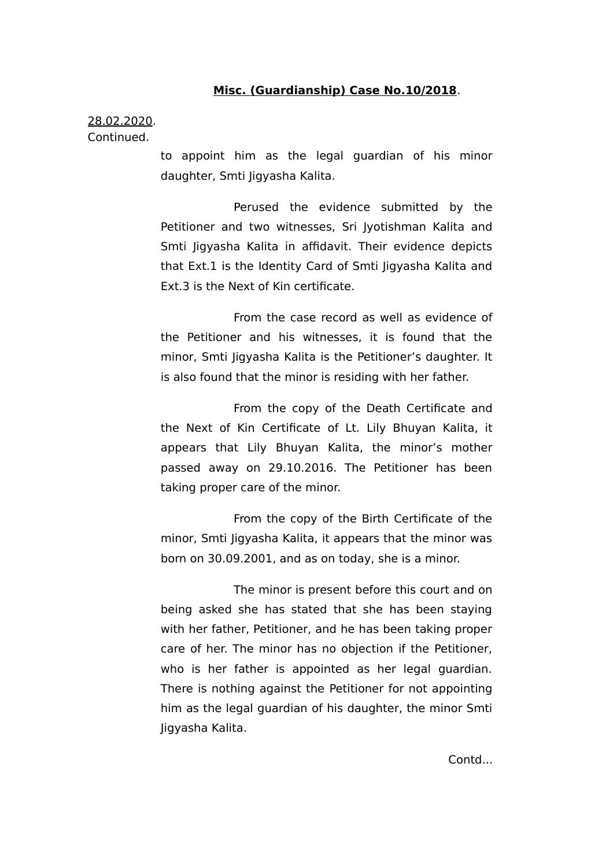### **Misc. (Guardianship) Case No.10/2018**.

# 28.02.2020. Continued.

to appoint him as the legal guardian of his minor daughter, Smti Jigyasha Kalita.

Perused the evidence submitted by the Petitioner and two witnesses, Sri Jyotishman Kalita and Smti Jigyasha Kalita in affidavit. Their evidence depicts that Ext.1 is the Identity Card of Smti Jigyasha Kalita and Ext.3 is the Next of Kin certificate.

From the case record as well as evidence of the Petitioner and his witnesses, it is found that the minor, Smti Jigyasha Kalita is the Petitioner's daughter. It is also found that the minor is residing with her father.

From the copy of the Death Certificate and the Next of Kin Certificate of Lt. Lily Bhuyan Kalita, it appears that Lily Bhuyan Kalita, the minor's mother passed away on 29.10.2016. The Petitioner has been taking proper care of the minor.

From the copy of the Birth Certificate of the minor, Smti Jigyasha Kalita, it appears that the minor was born on 30.09.2001, and as on today, she is a minor.

The minor is present before this court and on being asked she has stated that she has been staying with her father, Petitioner, and he has been taking proper care of her. The minor has no objection if the Petitioner, who is her father is appointed as her legal guardian. There is nothing against the Petitioner for not appointing him as the legal guardian of his daughter, the minor Smti Jigyasha Kalita.

Contd...